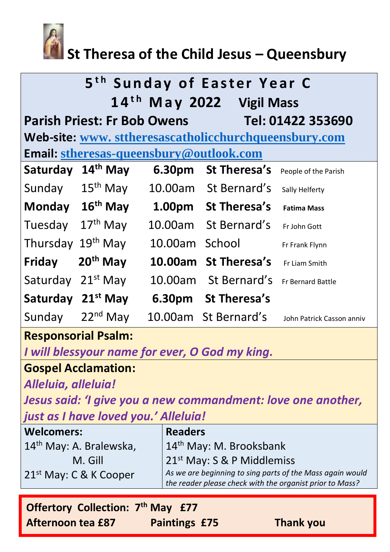

# **St Theresa of the Child Jesus – Queensbury**

| 5 <sup>th</sup> Sunday of Easter Year C<br>14 <sup>th</sup> May 2022 Vigil Mass |                             |                |                      |                           |  |  |
|---------------------------------------------------------------------------------|-----------------------------|----------------|----------------------|---------------------------|--|--|
| Tel: 01422 353690<br><b>Parish Priest: Fr Bob Owens</b>                         |                             |                |                      |                           |  |  |
| Web-site: www.sttheresascatholicchurchqueensbury.com                            |                             |                |                      |                           |  |  |
| <b>Email: stheresas-queensbury@outlook.com</b>                                  |                             |                |                      |                           |  |  |
| Saturday                                                                        | $14th$ May                  | 6.30pm         | <b>St Theresa's</b>  | People of the Parish      |  |  |
| Sunday                                                                          | $15th$ May                  |                | 10.00am St Bernard's | Sally Helferty            |  |  |
|                                                                                 | Monday 16 <sup>th</sup> May |                | 1.00pm St Theresa's  | <b>Fatima Mass</b>        |  |  |
| Tuesday                                                                         | $17th$ May                  |                | 10.00am St Bernard's | Fr John Gott              |  |  |
| Thursday                                                                        | $19th$ May                  | 10.00am School |                      | Fr Frank Flynn            |  |  |
| Friday                                                                          | $20th$ May                  |                | 10.00am St Theresa's | Fr Liam Smith             |  |  |
| Saturday                                                                        | $21^{st}$ May               | 10.00am        | St Bernard's         | <b>Fr Bernard Battle</b>  |  |  |
| Saturday                                                                        | $21st$ May                  |                | 6.30pm St Theresa's  |                           |  |  |
| Sunday                                                                          | $22nd$ May                  |                | 10.00am St Bernard's | John Patrick Casson anniv |  |  |

# **Responsorial Psalm:**

*I will blessyour name for ever, O God my king.*

# **Gospel Acclamation:**

*Alleluia, alleluia!*

*Jesus said: 'I give you a new commandment: love one another, just as I have loved you.' Alleluia!*

| <b>Welcomers:</b>                   | <b>Readers</b>                                                                                                        |  |
|-------------------------------------|-----------------------------------------------------------------------------------------------------------------------|--|
| 14 <sup>th</sup> May: A. Bralewska, | 14 <sup>th</sup> May: M. Brooksbank                                                                                   |  |
| M. Gill                             | $21^{st}$ May: S & P Middlemiss                                                                                       |  |
| 21 <sup>st</sup> May: C & K Cooper  | As we are beginning to sing parts of the Mass again would<br>the reader please check with the organist prior to Mass? |  |
|                                     |                                                                                                                       |  |

| <b>Offertory Collection: 7th May £77</b> |                      |                  |
|------------------------------------------|----------------------|------------------|
| <b>Afternoon tea £87</b>                 | <b>Paintings £75</b> | <b>Thank you</b> |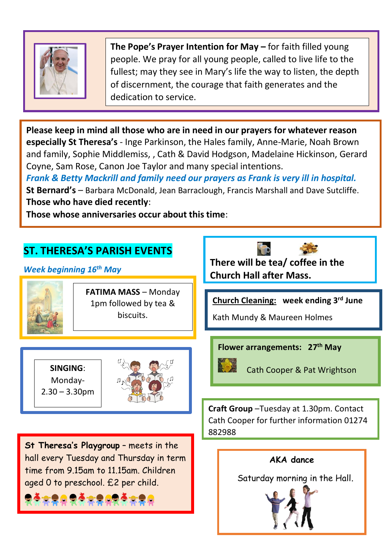

**The Pope's Prayer Intention for May –** for faith filled young people. We pray for all young people, called to live life to the fullest; may they see in Mary's life the way to listen, the depth of discernment, the courage that faith generates and the dedication to service.

**Please keep in mind all those who are in need in our prayers for whatever reason especially St Theresa's** - Inge Parkinson, the Hales family, Anne-Marie, Noah Brown and family, Sophie Middlemiss, , Cath & David Hodgson, Madelaine Hickinson, Gerard Coyne, Sam Rose, Canon Joe Taylor and many special intentions.

*Frank & Betty Mackrill and family need our prayers as Frank is very ill in hospital.* **St Bernard's** – Barbara McDonald, Jean Barraclough, Francis Marshall and Dave Sutcliffe. **Those who have died recently**:

**Those whose anniversaries occur about this time**:

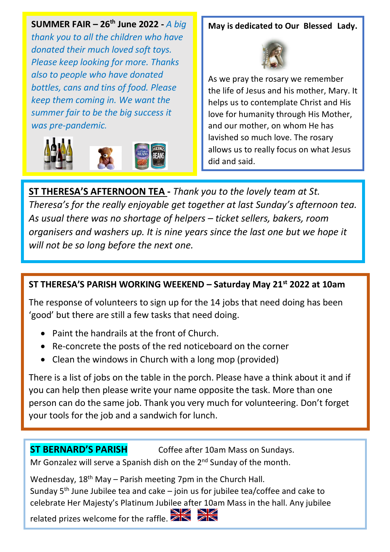**SUMMER FAIR – 26th June 2022 -** *A big* 

*thank you to all the children who have donated their much loved soft toys. Please keep looking for more. Thanks also to people who have donated bottles, cans and tins of food. Please keep them coming in. We want the summer fair to be the big success it was pre-pandemic.*



#### **May is dedicated to Our Blessed Lady.**



As we pray the rosary we remember the life of Jesus and his mother, Mary. It helps us to contemplate Christ and His love for humanity through His Mother, and our mother, on whom He has lavished so much love. The rosary allows us to really focus on what Jesus did and said.

As usual there was no shortage of helpers – ticket sellers, bakers, room **ST THERESA'S AFTERNOON TEA -** *Thank you to the lovely team at St. Theresa's for the really enjoyable get together at last Sunday's afternoon tea. organisers and washers up. It is nine years since the last one but we hope it will not be so long before the next one.* 

.

### **ST THERESA'S PARISH WORKING WEEKEND – Saturday May 21st 2022 at 10am**

The response of volunteers to sign up for the 14 jobs that need doing has been 'good' but there are still a few tasks that need doing.

- Paint the handrails at the front of Church.
- Re-concrete the posts of the red noticeboard on the corner
- Clean the windows in Church with a long mop (provided)

There is a list of jobs on the table in the porch. Please have a think about it and if you can help then please write your name opposite the task. More than one person can do the same job. Thank you very much for volunteering. Don't forget your tools for the job and a sandwich for lunch.

**ST BERNARD'S PARISH** Coffee after 10am Mass on Sundays. Mr Gonzalez will serve a Spanish dish on the  $2^{nd}$  Sunday of the month.

Wednesday,  $18<sup>th</sup>$  May – Parish meeting 7pm in the Church Hall. Sunday  $5<sup>th</sup>$  June Jubilee tea and cake – join us for jubilee tea/coffee and cake to celebrate Her Majesty's Platinum Jubilee after 10am Mass in the hall. Any jubilee related prizes welcome for the raffle.